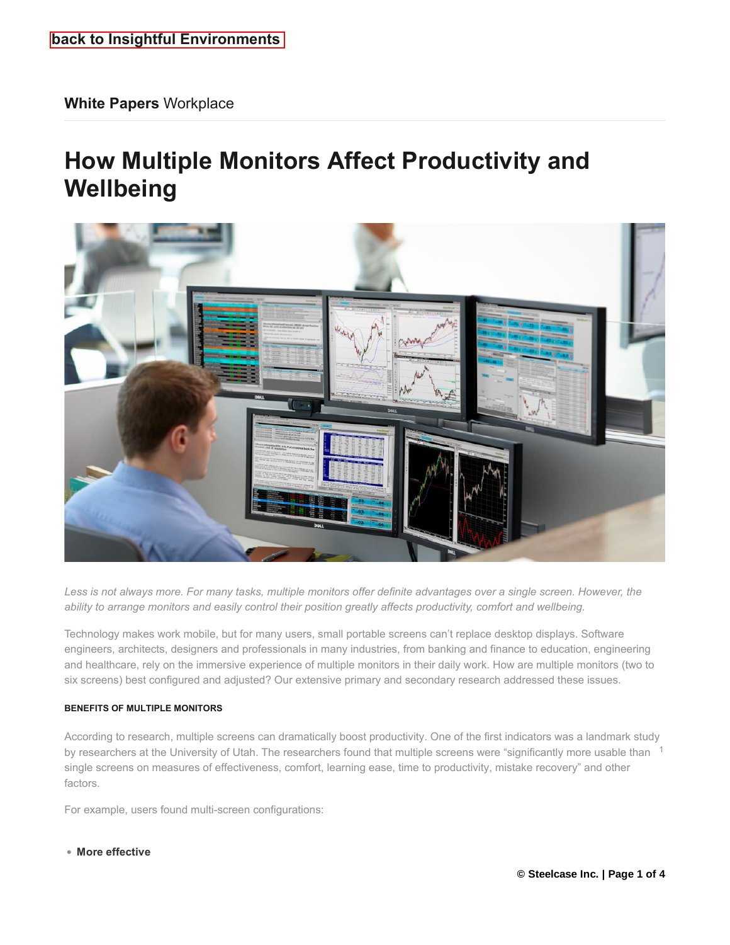# **How Multiple Monitors Affect Productivity and Wellbeing**



*Less is not always more. For many tasks, multiple monitors offer definite advantages over a single screen. However, the ability to arrange monitors and easily control their position greatly affects productivity, comfort and wellbeing.*

Technology makes work mobile, but for many users, small portable screens can't replace desktop displays. Software engineers, architects, designers and professionals in many industries, from banking and finance to education, engineering and healthcare, rely on the immersive experience of multiple monitors in their daily work. How are multiple monitors (two to six screens) best configured and adjusted? Our extensive primary and secondary research addressed these issues.

# **BENEFITS OF MULTIPLE MONITORS**

According to research, multiple screens can dramatically boost productivity. One of the first indicators was a landmark study by researchers at the University of Utah. The researchers found that multiple screens were "significantly more usable than  $1$ single screens on measures of effectiveness, comfort, learning ease, time to productivity, mistake recovery" and other factors.

For example, users found multi-screen configurations:

#### **More effective**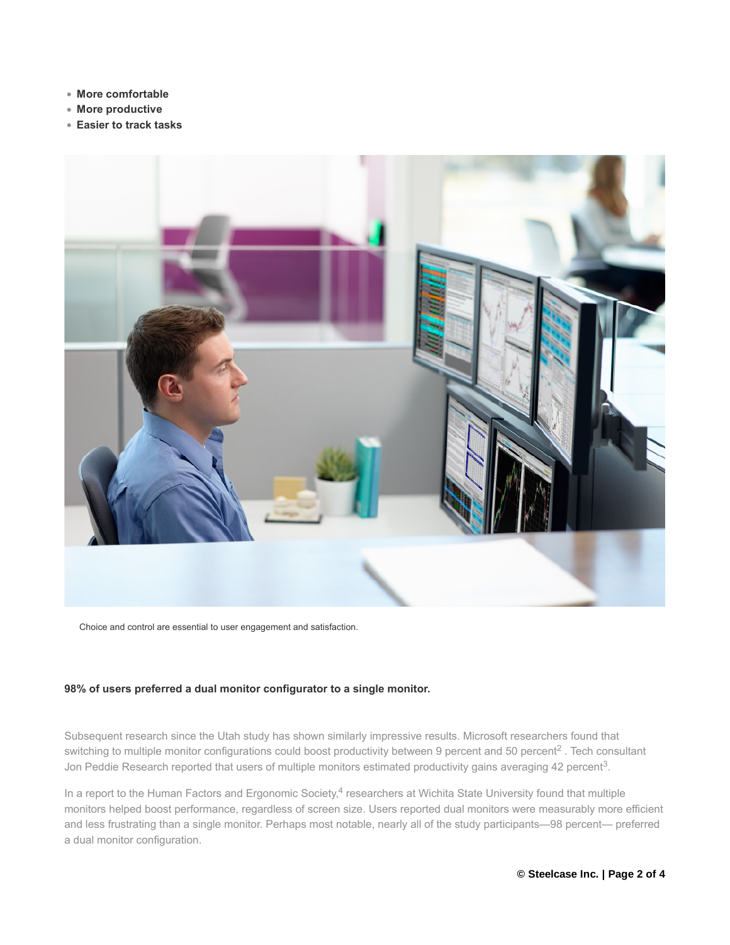- **More comfortable**
- **More productive**
- **Easier to track tasks**



Choice and control are essential to user engagement and satisfaction.

## **98% of users preferred a dual monitor configurator to a single monitor.**

Subsequent research since the Utah study has shown similarly impressive results. Microsoft researchers found that switching to multiple monitor configurations could boost productivity between 9 percent and 50 percent<sup>2</sup>. Tech consultant Jon Peddie Research reported that users of multiple monitors estimated productivity gains averaging 42 percent<sup>3</sup>.

In a report to the Human Factors and Ergonomic Society,<sup>4</sup> researchers at Wichita State University found that multiple monitors helped boost performance, regardless of screen size. Users reported dual monitors were measurably more efficient and less frustrating than a single monitor. Perhaps most notable, nearly all of the study participants—98 percent— preferred a dual monitor configuration.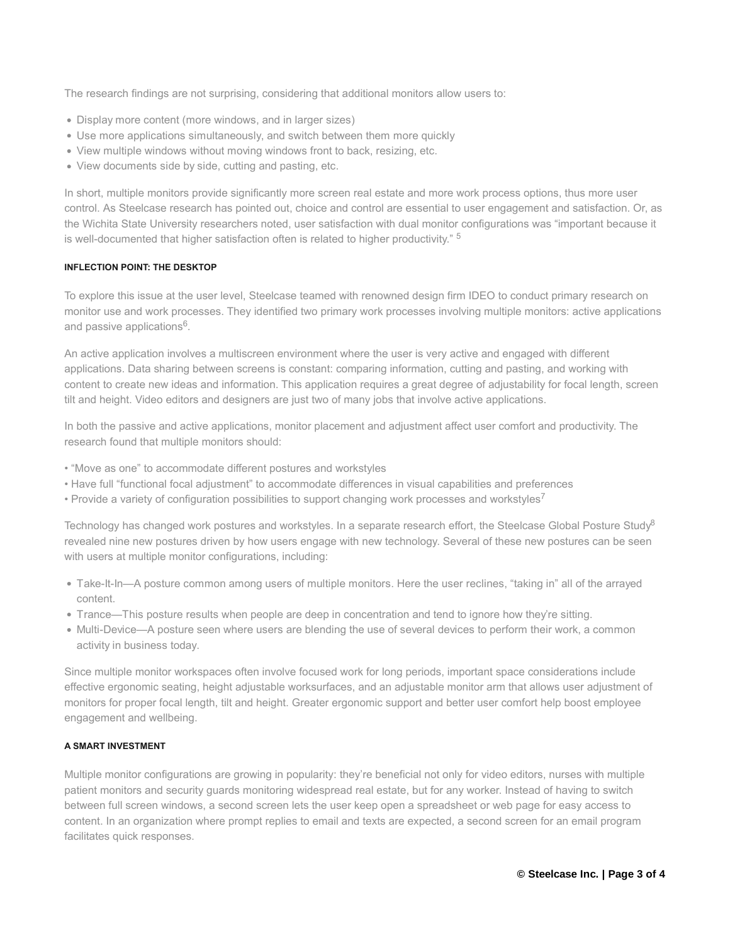The research findings are not surprising, considering that additional monitors allow users to:

- Display more content (more windows, and in larger sizes)
- Use more applications simultaneously, and switch between them more quickly
- View multiple windows without moving windows front to back, resizing, etc.
- View documents side by side, cutting and pasting, etc.

In short, multiple monitors provide significantly more screen real estate and more work process options, thus more user control. As Steelcase research has pointed out, choice and control are essential to user engagement and satisfaction. Or, as the Wichita State University researchers noted, user satisfaction with dual monitor configurations was "important because it is well-documented that higher satisfaction often is related to higher productivity." <sup>5</sup>

#### **INFLECTION POINT: THE DESKTOP**

To explore this issue at the user level, Steelcase teamed with renowned design firm IDEO to conduct primary research on monitor use and work processes. They identified two primary work processes involving multiple monitors: active applications<br>and passive applications<sup>6</sup>. and passive applications<sup>6</sup>.

An active application involves a multiscreen environment where the user is very active and engaged with different applications. Data sharing between screens is constant: comparing information, cutting and pasting, and working with content to create new ideas and information. This application requires a great degree of adjustability for focal length, screen tilt and height. Video editors and designers are just two of many jobs that involve active applications.

In both the passive and active applications, monitor placement and adjustment affect user comfort and productivity. The research found that multiple monitors should:

- "Move as one" to accommodate different postures and workstyles
- Have full "functional focal adjustment" to accommodate differences in visual capabilities and preferences • Have full "functional focal adjustment" to accommodate differences in visual capabilities and preferen<br>• Provide a variety of configuration possibilities to support changing work processes and workstyles<sup>7</sup>
- 

Technology has changed work postures and workstyles. In a separate research effort, the Steelcase Global Posture Study<sup>8</sup> revealed nine new postures driven by how users engage with new technology. Several of these new postures can be seen with users at multiple monitor configurations, including:

- Take-It-In—A posture common among users of multiple monitors. Here the user reclines, "taking in" all of the arrayed content.
- Trance—This posture results when people are deep in concentration and tend to ignore how they're sitting.
- Multi-Device—A posture seen where users are blending the use of several devices to perform their work, a common activity in business today.

Since multiple monitor workspaces often involve focused work for long periods, important space considerations include effective ergonomic seating, height adjustable worksurfaces, and an adjustable monitor arm that allows user adjustment of monitors for proper focal length, tilt and height. Greater ergonomic support and better user comfort help boost employee engagement and wellbeing.

## **A SMART INVESTMENT**

Multiple monitor configurations are growing in popularity: they're beneficial not only for video editors, nurses with multiple patient monitors and security guards monitoring widespread real estate, but for any worker. Instead of having to switch between full screen windows, a second screen lets the user keep open a spreadsheet or web page for easy access to content. In an organization where prompt replies to email and texts are expected, a second screen for an email program facilitates quick responses.